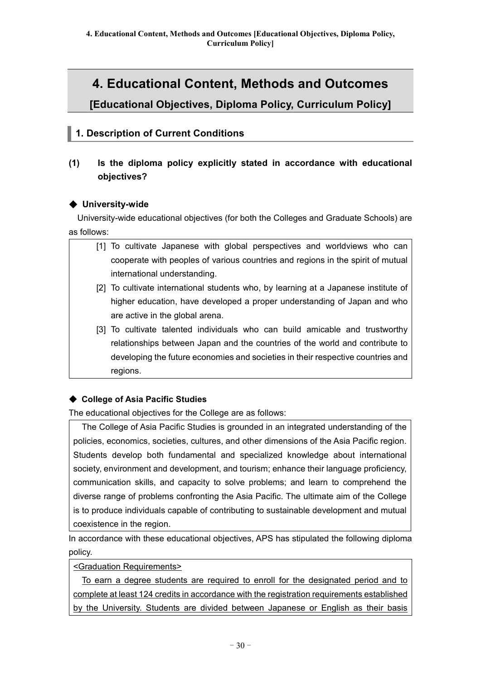# **4. Educational Content, Methods and Outcomes**

**[Educational Objectives, Diploma Policy, Curriculum Policy]**

## **1. Description of Current Conditions**

## **(1) Is the diploma policy explicitly stated in accordance with educational objectives?**

### ◆ **University-wide**

University-wide educational objectives (for both the Colleges and Graduate Schools) are as follows:

- [1] To cultivate Japanese with global perspectives and worldviews who can cooperate with peoples of various countries and regions in the spirit of mutual international understanding.
- [2] To cultivate international students who, by learning at a Japanese institute of higher education, have developed a proper understanding of Japan and who are active in the global arena.
- [3] To cultivate talented individuals who can build amicable and trustworthy relationships between Japan and the countries of the world and contribute to developing the future economies and societies in their respective countries and regions.

## ◆ **College of Asia Pacific Studies**

The educational objectives for the College are as follows:

The College of Asia Pacific Studies is grounded in an integrated understanding of the policies, economics, societies, cultures, and other dimensions of the Asia Pacific region. Students develop both fundamental and specialized knowledge about international society, environment and development, and tourism; enhance their language proficiency, communication skills, and capacity to solve problems; and learn to comprehend the diverse range of problems confronting the Asia Pacific. The ultimate aim of the College is to produce individuals capable of contributing to sustainable development and mutual coexistence in the region.

In accordance with these educational objectives, APS has stipulated the following diploma policy.

<Graduation Requirements>

To earn a degree students are required to enroll for the designated period and to complete at least 124 credits in accordance with the registration requirements established by the University. Students are divided between Japanese or English as their basis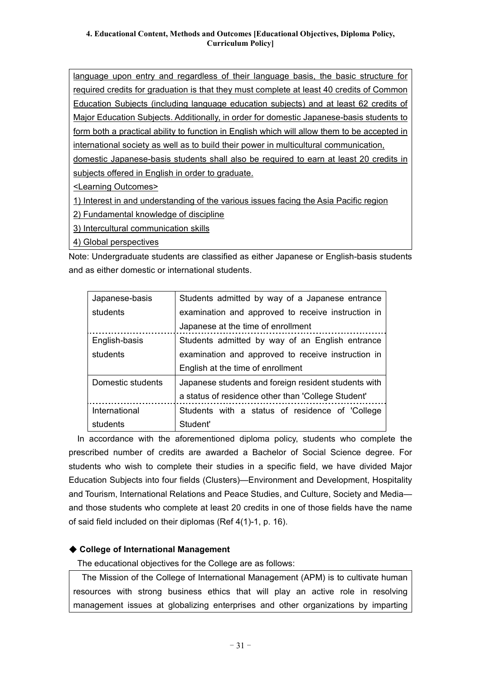language upon entry and regardless of their language basis, the basic structure for required credits for graduation is that they must complete at least 40 credits of Common Education Subjects (including language education subjects) and at least 62 credits of Major Education Subjects. Additionally, in order for domestic Japanese-basis students to form both a practical ability to function in English which will allow them to be accepted in international society as well as to build their power in multicultural communication, domestic Japanese-basis students shall also be required to earn at least 20 credits in

subjects offered in English in order to graduate.

<Learning Outcomes>

1) Interest in and understanding of the various issues facing the Asia Pacific region

2) Fundamental knowledge of discipline

3) Intercultural communication skills

4) Global perspectives

Note: Undergraduate students are classified as either Japanese or English-basis students and as either domestic or international students.

| Japanese-basis    | Students admitted by way of a Japanese entrance      |  |  |
|-------------------|------------------------------------------------------|--|--|
| students          | examination and approved to receive instruction in   |  |  |
|                   | Japanese at the time of enrollment                   |  |  |
| English-basis     | Students admitted by way of an English entrance      |  |  |
| students          | examination and approved to receive instruction in   |  |  |
|                   | English at the time of enrollment                    |  |  |
|                   |                                                      |  |  |
| Domestic students | Japanese students and foreign resident students with |  |  |
|                   | a status of residence other than 'College Student'   |  |  |
| International     | Students with a status of residence of 'College      |  |  |

In accordance with the aforementioned diploma policy, students who complete the prescribed number of credits are awarded a Bachelor of Social Science degree. For students who wish to complete their studies in a specific field, we have divided Major Education Subjects into four fields (Clusters)—Environment and Development, Hospitality and Tourism, International Relations and Peace Studies, and Culture, Society and Media and those students who complete at least 20 credits in one of those fields have the name of said field included on their diplomas (Ref 4(1)-1, p. 16).

### ◆ **College of International Management**

The educational objectives for the College are as follows:

The Mission of the College of International Management (APM) is to cultivate human resources with strong business ethics that will play an active role in resolving management issues at globalizing enterprises and other organizations by imparting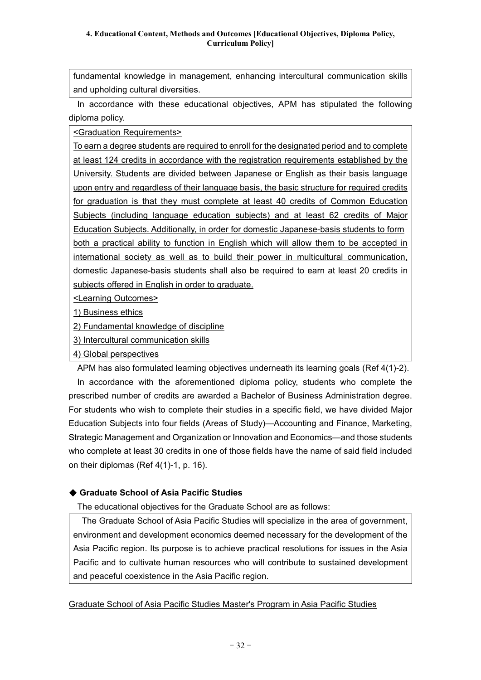fundamental knowledge in management, enhancing intercultural communication skills and upholding cultural diversities.

In accordance with these educational objectives, APM has stipulated the following diploma policy.

<Graduation Requirements>

To earn a degree students are required to enroll for the designated period and to complete at least 124 credits in accordance with the registration requirements established by the University. Students are divided between Japanese or English as their basis language upon entry and regardless of their language basis, the basic structure for required credits for graduation is that they must complete at least 40 credits of Common Education Subjects (including language education subjects) and at least 62 credits of Major Education Subjects. Additionally, in order for domestic Japanese-basis students to form both a practical ability to function in English which will allow them to be accepted in international society as well as to build their power in multicultural communication, domestic Japanese-basis students shall also be required to earn at least 20 credits in subjects offered in English in order to graduate.

<Learning Outcomes>

1) Business ethics

2) Fundamental knowledge of discipline

3) Intercultural communication skills

4) Global perspectives

APM has also formulated learning objectives underneath its learning goals (Ref 4(1)-2).

In accordance with the aforementioned diploma policy, students who complete the prescribed number of credits are awarded a Bachelor of Business Administration degree. For students who wish to complete their studies in a specific field, we have divided Major Education Subjects into four fields (Areas of Study)—Accounting and Finance, Marketing, Strategic Management and Organization or Innovation and Economics—and those students who complete at least 30 credits in one of those fields have the name of said field included on their diplomas (Ref 4(1)-1, p. 16).

### ◆ **Graduate School of Asia Pacific Studies**

The educational objectives for the Graduate School are as follows:

The Graduate School of Asia Pacific Studies will specialize in the area of government, environment and development economics deemed necessary for the development of the Asia Pacific region. Its purpose is to achieve practical resolutions for issues in the Asia Pacific and to cultivate human resources who will contribute to sustained development and peaceful coexistence in the Asia Pacific region.

### Graduate School of Asia Pacific Studies Master's Program in Asia Pacific Studies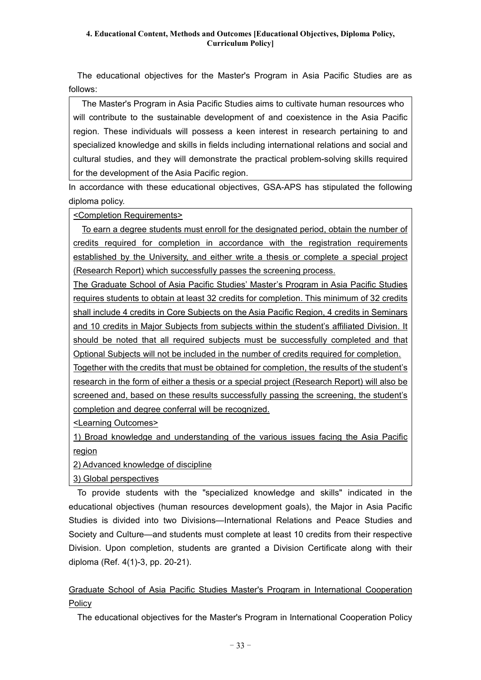The educational objectives for the Master's Program in Asia Pacific Studies are as follows:

The Master's Program in Asia Pacific Studies aims to cultivate human resources who will contribute to the sustainable development of and coexistence in the Asia Pacific region. These individuals will possess a keen interest in research pertaining to and specialized knowledge and skills in fields including international relations and social and cultural studies, and they will demonstrate the practical problem-solving skills required for the development of the Asia Pacific region.

In accordance with these educational objectives, GSA-APS has stipulated the following diploma policy.

<Completion Requirements>

To earn a degree students must enroll for the designated period, obtain the number of credits required for completion in accordance with the registration requirements established by the University, and either write a thesis or complete a special project (Research Report) which successfully passes the screening process.

The Graduate School of Asia Pacific Studies' Master's Program in Asia Pacific Studies requires students to obtain at least 32 credits for completion. This minimum of 32 credits shall include 4 credits in Core Subjects on the Asia Pacific Region, 4 credits in Seminars and 10 credits in Major Subjects from subjects within the student's affiliated Division. It should be noted that all required subjects must be successfully completed and that Optional Subjects will not be included in the number of credits required for completion. Together with the credits that must be obtained for completion, the results of the student's research in the form of either a thesis or a special project (Research Report) will also be screened and, based on these results successfully passing the screening, the student's completion and degree conferral will be recognized.

<Learning Outcomes>

1) Broad knowledge and understanding of the various issues facing the Asia Pacific region

2) Advanced knowledge of discipline

3) Global perspectives

To provide students with the "specialized knowledge and skills" indicated in the educational objectives (human resources development goals), the Major in Asia Pacific Studies is divided into two Divisions—International Relations and Peace Studies and Society and Culture—and students must complete at least 10 credits from their respective Division. Upon completion, students are granted a Division Certificate along with their diploma (Ref. 4(1)-3, pp. 20-21).

Graduate School of Asia Pacific Studies Master's Program in International Cooperation **Policy** 

The educational objectives for the Master's Program in International Cooperation Policy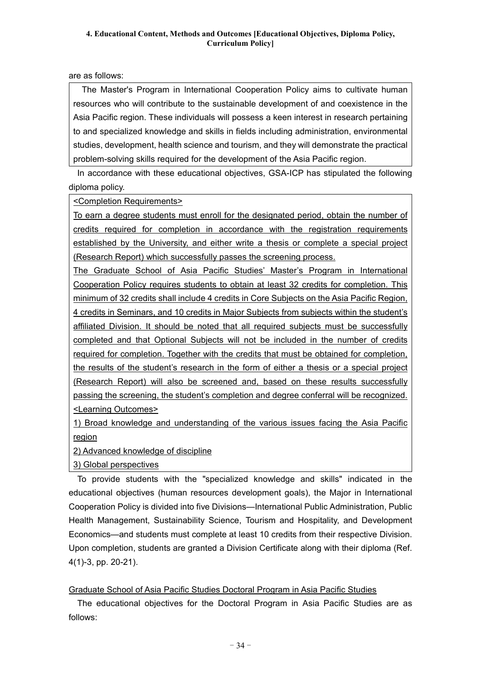are as follows:

The Master's Program in International Cooperation Policy aims to cultivate human resources who will contribute to the sustainable development of and coexistence in the Asia Pacific region. These individuals will possess a keen interest in research pertaining to and specialized knowledge and skills in fields including administration, environmental studies, development, health science and tourism, and they will demonstrate the practical problem-solving skills required for the development of the Asia Pacific region.

In accordance with these educational objectives, GSA-ICP has stipulated the following diploma policy.

<Completion Requirements>

To earn a degree students must enroll for the designated period, obtain the number of credits required for completion in accordance with the registration requirements established by the University, and either write a thesis or complete a special project (Research Report) which successfully passes the screening process.

The Graduate School of Asia Pacific Studies' Master's Program in International Cooperation Policy requires students to obtain at least 32 credits for completion. This minimum of 32 credits shall include 4 credits in Core Subjects on the Asia Pacific Region, 4 credits in Seminars, and 10 credits in Major Subjects from subjects within the student's affiliated Division. It should be noted that all required subjects must be successfully completed and that Optional Subjects will not be included in the number of credits required for completion. Together with the credits that must be obtained for completion, the results of the student's research in the form of either a thesis or a special project (Research Report) will also be screened and, based on these results successfully passing the screening, the student's completion and degree conferral will be recognized. <Learning Outcomes>

1) Broad knowledge and understanding of the various issues facing the Asia Pacific region

2) Advanced knowledge of discipline

3) Global perspectives

To provide students with the "specialized knowledge and skills" indicated in the educational objectives (human resources development goals), the Major in International Cooperation Policy is divided into five Divisions—International Public Administration, Public Health Management, Sustainability Science, Tourism and Hospitality, and Development Economics—and students must complete at least 10 credits from their respective Division. Upon completion, students are granted a Division Certificate along with their diploma (Ref. 4(1)-3, pp. 20-21).

Graduate School of Asia Pacific Studies Doctoral Program in Asia Pacific Studies

The educational objectives for the Doctoral Program in Asia Pacific Studies are as follows: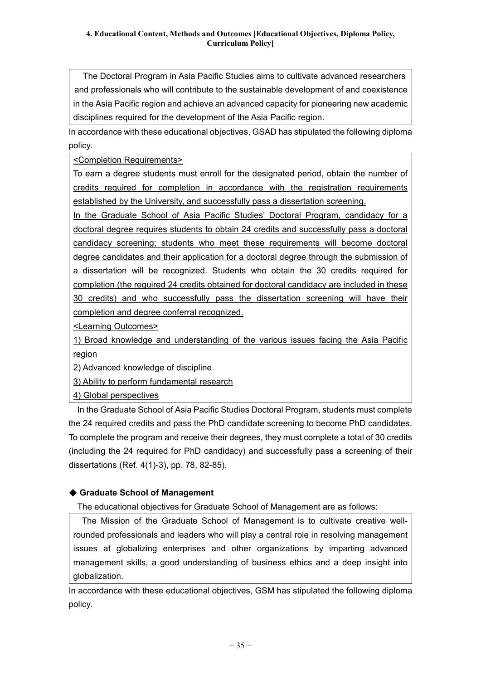The Doctoral Program in Asia Pacific Studies aims to cultivate advanced researchers and professionals who will contribute to the sustainable development of and coexistence in the Asia Pacific region and achieve an advanced capacity for pioneering new academic disciplines required for the development of the Asia Pacific region.

In accordance with these educational objectives, GSAD has stipulated the following diploma policy.

<Completion Requirements>

To earn a degree students must enroll for the designated period, obtain the number of credits required for completion in accordance with the registration requirements established by the University, and successfully pass a dissertation screening.

In the Graduate School of Asia Pacific Studies' Doctoral Program, candidacy for a doctoral degree requires students to obtain 24 credits and successfully pass a doctoral candidacy screening; students who meet these requirements will become doctoral degree candidates and their application for a doctoral degree through the submission of a dissertation will be recognized. Students who obtain the 30 credits required for completion (the required 24 credits obtained for doctoral candidacy are included in these 30 credits) and who successfully pass the dissertation screening will have their completion and degree conferral recognized.

<Learning Outcomes>

1) Broad knowledge and understanding of the various issues facing the Asia Pacific region

2) Advanced knowledge of discipline

3) Ability to perform fundamental research

4) Global perspectives

In the Graduate School of Asia Pacific Studies Doctoral Program, students must complete the 24 required credits and pass the PhD candidate screening to become PhD candidates. To complete the program and receive their degrees, they must complete a total of 30 credits (including the 24 required for PhD candidacy) and successfully pass a screening of their dissertations (Ref. 4(1)-3), pp. 78, 82-85).

## ◆ **Graduate School of Management**

The educational objectives for Graduate School of Management are as follows:

The Mission of the Graduate School of Management is to cultivate creative wellrounded professionals and leaders who will play a central role in resolving management issues at globalizing enterprises and other organizations by imparting advanced management skills, a good understanding of business ethics and a deep insight into globalization.

In accordance with these educational objectives, GSM has stipulated the following diploma policy.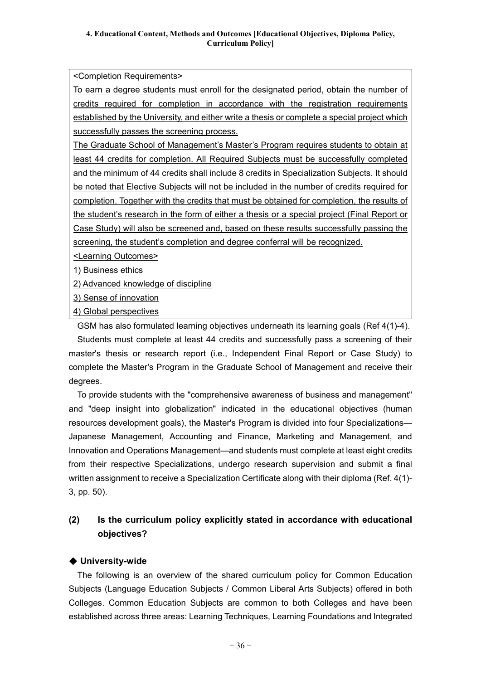<Completion Requirements>

To earn a degree students must enroll for the designated period, obtain the number of credits required for completion in accordance with the registration requirements established by the University, and either write a thesis or complete a special project which successfully passes the screening process.

The Graduate School of Management's Master's Program requires students to obtain at least 44 credits for completion. All Required Subjects must be successfully completed and the minimum of 44 credits shall include 8 credits in Specialization Subjects. It should be noted that Elective Subjects will not be included in the number of credits required for completion. Together with the credits that must be obtained for completion, the results of the student's research in the form of either a thesis or a special project (Final Report or Case Study) will also be screened and, based on these results successfully passing the screening, the student's completion and degree conferral will be recognized.

<Learning Outcomes>

1) Business ethics

2) Advanced knowledge of discipline

3) Sense of innovation

4) Global perspectives

GSM has also formulated learning objectives underneath its learning goals (Ref 4(1)-4).

Students must complete at least 44 credits and successfully pass a screening of their master's thesis or research report (i.e., Independent Final Report or Case Study) to complete the Master's Program in the Graduate School of Management and receive their degrees.

To provide students with the "comprehensive awareness of business and management" and "deep insight into globalization" indicated in the educational objectives (human resources development goals), the Master's Program is divided into four Specializations— Japanese Management, Accounting and Finance, Marketing and Management, and Innovation and Operations Management—and students must complete at least eight credits from their respective Specializations, undergo research supervision and submit a final written assignment to receive a Specialization Certificate along with their diploma (Ref. 4(1)- 3, pp. 50).

## **(2) Is the curriculum policy explicitly stated in accordance with educational objectives?**

### ◆ **University-wide**

The following is an overview of the shared curriculum policy for Common Education Subjects (Language Education Subjects / Common Liberal Arts Subjects) offered in both Colleges. Common Education Subjects are common to both Colleges and have been established across three areas: Learning Techniques, Learning Foundations and Integrated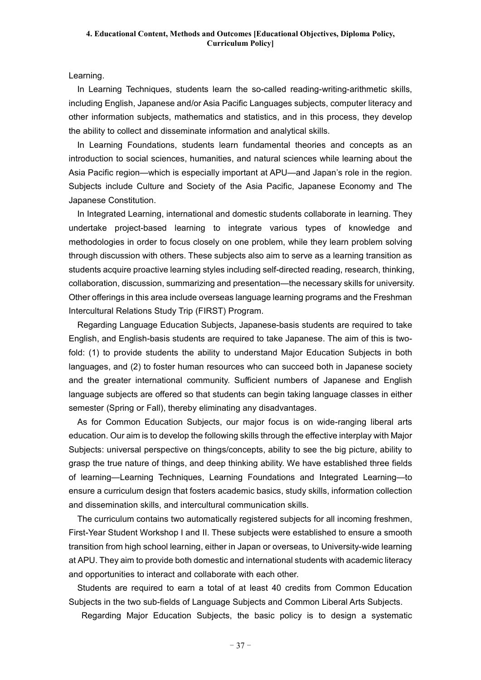Learning.

In Learning Techniques, students learn the so-called reading-writing-arithmetic skills, including English, Japanese and/or Asia Pacific Languages subjects, computer literacy and other information subjects, mathematics and statistics, and in this process, they develop the ability to collect and disseminate information and analytical skills.

In Learning Foundations, students learn fundamental theories and concepts as an introduction to social sciences, humanities, and natural sciences while learning about the Asia Pacific region—which is especially important at APU—and Japan's role in the region. Subjects include Culture and Society of the Asia Pacific, Japanese Economy and The Japanese Constitution.

In Integrated Learning, international and domestic students collaborate in learning. They undertake project-based learning to integrate various types of knowledge and methodologies in order to focus closely on one problem, while they learn problem solving through discussion with others. These subjects also aim to serve as a learning transition as students acquire proactive learning styles including self-directed reading, research, thinking, collaboration, discussion, summarizing and presentation—the necessary skills for university. Other offerings in this area include overseas language learning programs and the Freshman Intercultural Relations Study Trip (FIRST) Program.

Regarding Language Education Subjects, Japanese-basis students are required to take English, and English-basis students are required to take Japanese. The aim of this is twofold: (1) to provide students the ability to understand Major Education Subjects in both languages, and (2) to foster human resources who can succeed both in Japanese society and the greater international community. Sufficient numbers of Japanese and English language subjects are offered so that students can begin taking language classes in either semester (Spring or Fall), thereby eliminating any disadvantages.

As for Common Education Subjects, our major focus is on wide-ranging liberal arts education. Our aim is to develop the following skills through the effective interplay with Major Subjects: universal perspective on things/concepts, ability to see the big picture, ability to grasp the true nature of things, and deep thinking ability. We have established three fields of learning—Learning Techniques, Learning Foundations and Integrated Learning—to ensure a curriculum design that fosters academic basics, study skills, information collection and dissemination skills, and intercultural communication skills.

The curriculum contains two automatically registered subjects for all incoming freshmen, First-Year Student Workshop I and II. These subjects were established to ensure a smooth transition from high school learning, either in Japan or overseas, to University-wide learning at APU. They aim to provide both domestic and international students with academic literacy and opportunities to interact and collaborate with each other.

Students are required to earn a total of at least 40 credits from Common Education Subjects in the two sub-fields of Language Subjects and Common Liberal Arts Subjects.

Regarding Major Education Subjects, the basic policy is to design a systematic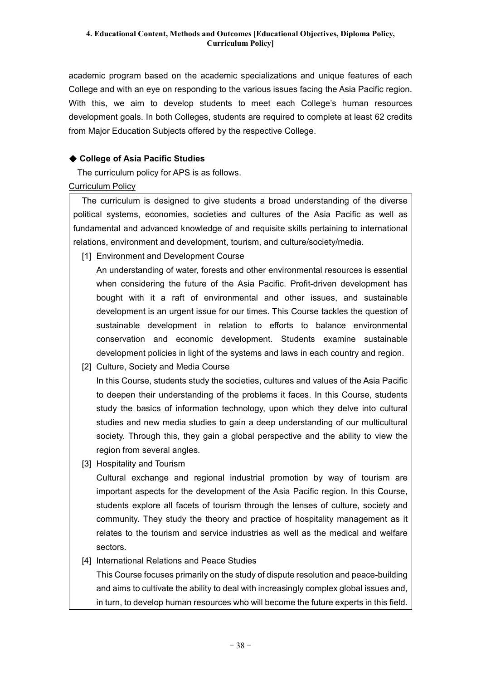academic program based on the academic specializations and unique features of each College and with an eye on responding to the various issues facing the Asia Pacific region. With this, we aim to develop students to meet each College's human resources development goals. In both Colleges, students are required to complete at least 62 credits from Major Education Subjects offered by the respective College.

### ◆ **College of Asia Pacific Studies**

The curriculum policy for APS is as follows.

### Curriculum Policy

The curriculum is designed to give students a broad understanding of the diverse political systems, economies, societies and cultures of the Asia Pacific as well as fundamental and advanced knowledge of and requisite skills pertaining to international relations, environment and development, tourism, and culture/society/media.

[1] Environment and Development Course

An understanding of water, forests and other environmental resources is essential when considering the future of the Asia Pacific. Profit-driven development has bought with it a raft of environmental and other issues, and sustainable development is an urgent issue for our times. This Course tackles the question of sustainable development in relation to efforts to balance environmental conservation and economic development. Students examine sustainable development policies in light of the systems and laws in each country and region.

[2] Culture, Society and Media Course

In this Course, students study the societies, cultures and values of the Asia Pacific to deepen their understanding of the problems it faces. In this Course, students study the basics of information technology, upon which they delve into cultural studies and new media studies to gain a deep understanding of our multicultural society. Through this, they gain a global perspective and the ability to view the region from several angles.

[3] Hospitality and Tourism

Cultural exchange and regional industrial promotion by way of tourism are important aspects for the development of the Asia Pacific region. In this Course, students explore all facets of tourism through the lenses of culture, society and community. They study the theory and practice of hospitality management as it relates to the tourism and service industries as well as the medical and welfare sectors.

[4] International Relations and Peace Studies

This Course focuses primarily on the study of dispute resolution and peace-building and aims to cultivate the ability to deal with increasingly complex global issues and, in turn, to develop human resources who will become the future experts in this field.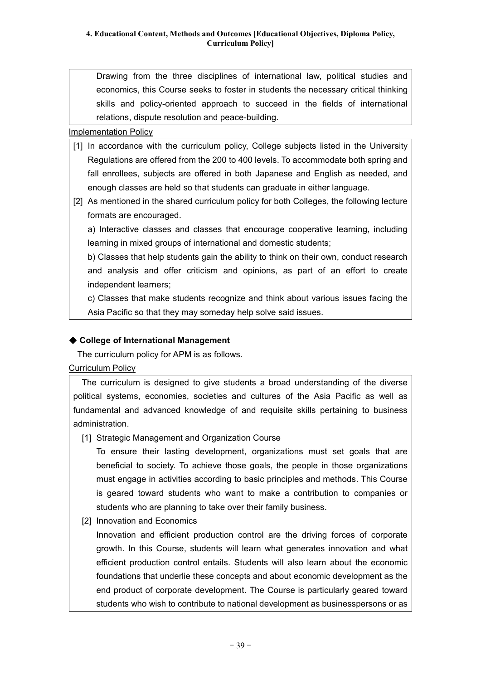Drawing from the three disciplines of international law, political studies and economics, this Course seeks to foster in students the necessary critical thinking skills and policy-oriented approach to succeed in the fields of international relations, dispute resolution and peace-building.

#### Implementation Policy

- [1] In accordance with the curriculum policy, College subjects listed in the University Regulations are offered from the 200 to 400 levels. To accommodate both spring and fall enrollees, subjects are offered in both Japanese and English as needed, and enough classes are held so that students can graduate in either language.
- [2] As mentioned in the shared curriculum policy for both Colleges, the following lecture formats are encouraged.

a) Interactive classes and classes that encourage cooperative learning, including learning in mixed groups of international and domestic students;

b) Classes that help students gain the ability to think on their own, conduct research and analysis and offer criticism and opinions, as part of an effort to create independent learners;

c) Classes that make students recognize and think about various issues facing the Asia Pacific so that they may someday help solve said issues.

### ◆ **College of International Management**

The curriculum policy for APM is as follows.

### Curriculum Policy

The curriculum is designed to give students a broad understanding of the diverse political systems, economies, societies and cultures of the Asia Pacific as well as fundamental and advanced knowledge of and requisite skills pertaining to business administration.

[1] Strategic Management and Organization Course

To ensure their lasting development, organizations must set goals that are beneficial to society. To achieve those goals, the people in those organizations must engage in activities according to basic principles and methods. This Course is geared toward students who want to make a contribution to companies or students who are planning to take over their family business.

[2] Innovation and Economics

Innovation and efficient production control are the driving forces of corporate growth. In this Course, students will learn what generates innovation and what efficient production control entails. Students will also learn about the economic foundations that underlie these concepts and about economic development as the end product of corporate development. The Course is particularly geared toward students who wish to contribute to national development as businesspersons or as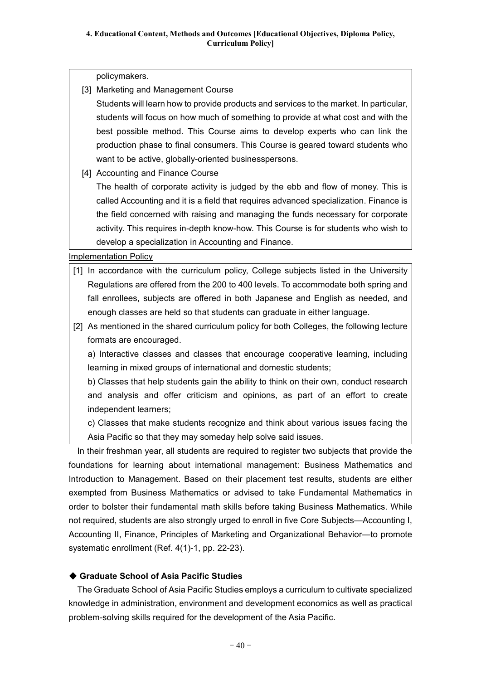policymakers.

[3] Marketing and Management Course

Students will learn how to provide products and services to the market. In particular, students will focus on how much of something to provide at what cost and with the best possible method. This Course aims to develop experts who can link the production phase to final consumers. This Course is geared toward students who want to be active, globally-oriented businesspersons.

[4] Accounting and Finance Course

The health of corporate activity is judged by the ebb and flow of money. This is called Accounting and it is a field that requires advanced specialization. Finance is the field concerned with raising and managing the funds necessary for corporate activity. This requires in-depth know-how. This Course is for students who wish to develop a specialization in Accounting and Finance.

Implementation Policy

- [1] In accordance with the curriculum policy, College subjects listed in the University Regulations are offered from the 200 to 400 levels. To accommodate both spring and fall enrollees, subjects are offered in both Japanese and English as needed, and enough classes are held so that students can graduate in either language.
- [2] As mentioned in the shared curriculum policy for both Colleges, the following lecture formats are encouraged.

a) Interactive classes and classes that encourage cooperative learning, including learning in mixed groups of international and domestic students;

b) Classes that help students gain the ability to think on their own, conduct research and analysis and offer criticism and opinions, as part of an effort to create independent learners;

c) Classes that make students recognize and think about various issues facing the Asia Pacific so that they may someday help solve said issues.

In their freshman year, all students are required to register two subjects that provide the foundations for learning about international management: Business Mathematics and Introduction to Management. Based on their placement test results, students are either exempted from Business Mathematics or advised to take Fundamental Mathematics in order to bolster their fundamental math skills before taking Business Mathematics. While not required, students are also strongly urged to enroll in five Core Subjects—Accounting I, Accounting II, Finance, Principles of Marketing and Organizational Behavior—to promote systematic enrollment (Ref. 4(1)-1, pp. 22-23).

### ◆ **Graduate School of Asia Pacific Studies**

The Graduate School of Asia Pacific Studies employs a curriculum to cultivate specialized knowledge in administration, environment and development economics as well as practical problem-solving skills required for the development of the Asia Pacific.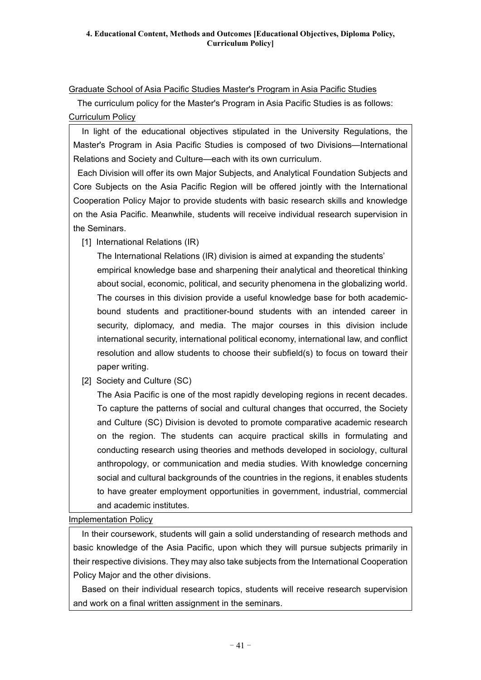### Graduate School of Asia Pacific Studies Master's Program in Asia Pacific Studies

The curriculum policy for the Master's Program in Asia Pacific Studies is as follows: Curriculum Policy

In light of the educational objectives stipulated in the University Regulations, the Master's Program in Asia Pacific Studies is composed of two Divisions—International Relations and Society and Culture—each with its own curriculum.

Each Division will offer its own Major Subjects, and Analytical Foundation Subjects and Core Subjects on the Asia Pacific Region will be offered jointly with the International Cooperation Policy Major to provide students with basic research skills and knowledge on the Asia Pacific. Meanwhile, students will receive individual research supervision in the Seminars.

[1] International Relations (IR)

The International Relations (IR) division is aimed at expanding the students' empirical knowledge base and sharpening their analytical and theoretical thinking about social, economic, political, and security phenomena in the globalizing world. The courses in this division provide a useful knowledge base for both academicbound students and practitioner-bound students with an intended career in security, diplomacy, and media. The major courses in this division include international security, international political economy, international law, and conflict resolution and allow students to choose their subfield(s) to focus on toward their paper writing.

[2] Society and Culture (SC)

The Asia Pacific is one of the most rapidly developing regions in recent decades. To capture the patterns of social and cultural changes that occurred, the Society and Culture (SC) Division is devoted to promote comparative academic research on the region. The students can acquire practical skills in formulating and conducting research using theories and methods developed in sociology, cultural anthropology, or communication and media studies. With knowledge concerning social and cultural backgrounds of the countries in the regions, it enables students to have greater employment opportunities in government, industrial, commercial and academic institutes.

Implementation Policy

In their coursework, students will gain a solid understanding of research methods and basic knowledge of the Asia Pacific, upon which they will pursue subjects primarily in their respective divisions. They may also take subjects from the International Cooperation Policy Major and the other divisions.

Based on their individual research topics, students will receive research supervision and work on a final written assignment in the seminars.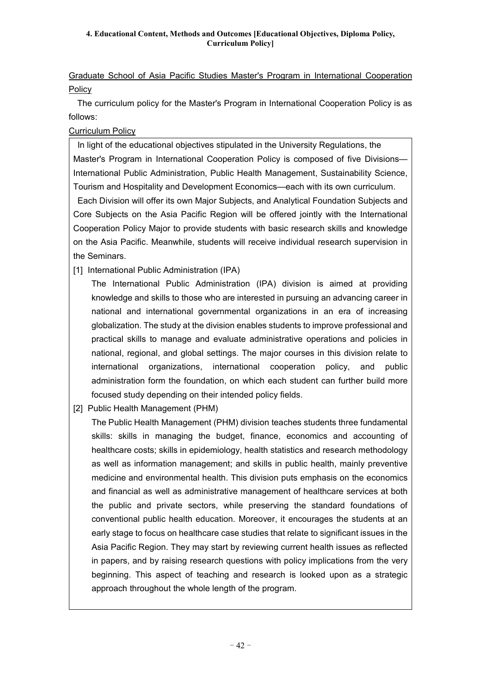Graduate School of Asia Pacific Studies Master's Program in International Cooperation **Policy** 

The curriculum policy for the Master's Program in International Cooperation Policy is as follows:

### Curriculum Policy

In light of the educational objectives stipulated in the University Regulations, the Master's Program in International Cooperation Policy is composed of five Divisions— International Public Administration, Public Health Management, Sustainability Science, Tourism and Hospitality and Development Economics—each with its own curriculum. Each Division will offer its own Major Subjects, and Analytical Foundation Subjects and Core Subjects on the Asia Pacific Region will be offered jointly with the International Cooperation Policy Major to provide students with basic research skills and knowledge on the Asia Pacific. Meanwhile, students will receive individual research supervision in the Seminars.

[1] International Public Administration (IPA)

The International Public Administration (IPA) division is aimed at providing knowledge and skills to those who are interested in pursuing an advancing career in national and international governmental organizations in an era of increasing globalization. The study at the division enables students to improve professional and practical skills to manage and evaluate administrative operations and policies in national, regional, and global settings. The major courses in this division relate to international organizations, international cooperation policy, and public administration form the foundation, on which each student can further build more focused study depending on their intended policy fields.

[2] Public Health Management (PHM)

The Public Health Management (PHM) division teaches students three fundamental skills: skills in managing the budget, finance, economics and accounting of healthcare costs; skills in epidemiology, health statistics and research methodology as well as information management; and skills in public health, mainly preventive medicine and environmental health. This division puts emphasis on the economics and financial as well as administrative management of healthcare services at both the public and private sectors, while preserving the standard foundations of conventional public health education. Moreover, it encourages the students at an early stage to focus on healthcare case studies that relate to significant issues in the Asia Pacific Region. They may start by reviewing current health issues as reflected in papers, and by raising research questions with policy implications from the very beginning. This aspect of teaching and research is looked upon as a strategic approach throughout the whole length of the program.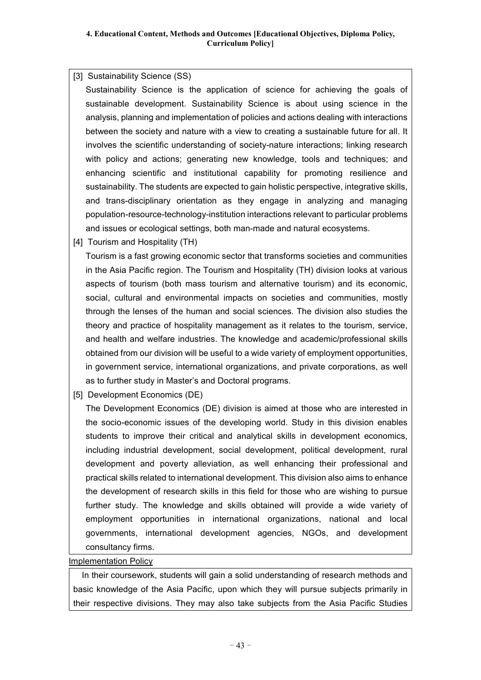#### [3] Sustainability Science (SS)

Sustainability Science is the application of science for achieving the goals of sustainable development. Sustainability Science is about using science in the analysis, planning and implementation of policies and actions dealing with interactions between the society and nature with a view to creating a sustainable future for all. It involves the scientific understanding of society-nature interactions; linking research with policy and actions; generating new knowledge, tools and techniques; and enhancing scientific and institutional capability for promoting resilience and sustainability. The students are expected to gain holistic perspective, integrative skills, and trans-disciplinary orientation as they engage in analyzing and managing population-resource-technology-institution interactions relevant to particular problems and issues or ecological settings, both man-made and natural ecosystems.

[4] Tourism and Hospitality (TH)

Tourism is a fast growing economic sector that transforms societies and communities in the Asia Pacific region. The Tourism and Hospitality (TH) division looks at various aspects of tourism (both mass tourism and alternative tourism) and its economic, social, cultural and environmental impacts on societies and communities, mostly through the lenses of the human and social sciences. The division also studies the theory and practice of hospitality management as it relates to the tourism, service, and health and welfare industries. The knowledge and academic/professional skills obtained from our division will be useful to a wide variety of employment opportunities, in government service, international organizations, and private corporations, as well as to further study in Master's and Doctoral programs.

[5] Development Economics (DE)

The Development Economics (DE) division is aimed at those who are interested in the socio-economic issues of the developing world. Study in this division enables students to improve their critical and analytical skills in development economics, including industrial development, social development, political development, rural development and poverty alleviation, as well enhancing their professional and practical skills related to international development. This division also aims to enhance the development of research skills in this field for those who are wishing to pursue further study. The knowledge and skills obtained will provide a wide variety of employment opportunities in international organizations, national and local governments, international development agencies, NGOs, and development consultancy firms.

Implementation Policy

In their coursework, students will gain a solid understanding of research methods and basic knowledge of the Asia Pacific, upon which they will pursue subjects primarily in their respective divisions. They may also take subjects from the Asia Pacific Studies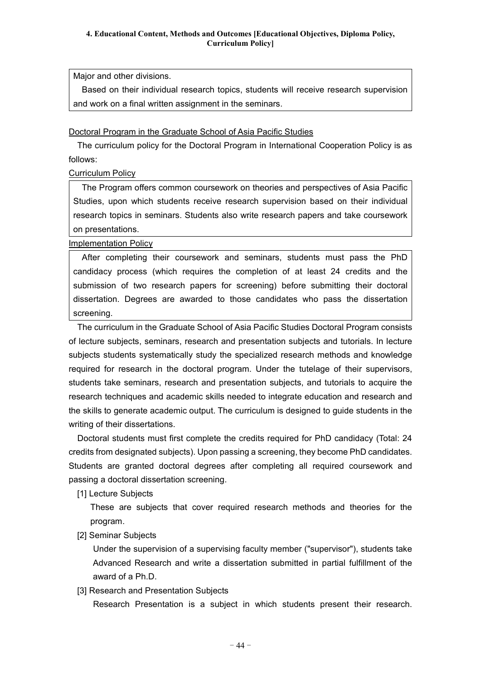Major and other divisions.

Based on their individual research topics, students will receive research supervision and work on a final written assignment in the seminars.

### Doctoral Program in the Graduate School of Asia Pacific Studies

The curriculum policy for the Doctoral Program in International Cooperation Policy is as follows:

### Curriculum Policy

The Program offers common coursework on theories and perspectives of Asia Pacific Studies, upon which students receive research supervision based on their individual research topics in seminars. Students also write research papers and take coursework on presentations.

### Implementation Policy

After completing their coursework and seminars, students must pass the PhD candidacy process (which requires the completion of at least 24 credits and the submission of two research papers for screening) before submitting their doctoral dissertation. Degrees are awarded to those candidates who pass the dissertation screening.

The curriculum in the Graduate School of Asia Pacific Studies Doctoral Program consists of lecture subjects, seminars, research and presentation subjects and tutorials. In lecture subjects students systematically study the specialized research methods and knowledge required for research in the doctoral program. Under the tutelage of their supervisors, students take seminars, research and presentation subjects, and tutorials to acquire the research techniques and academic skills needed to integrate education and research and the skills to generate academic output. The curriculum is designed to guide students in the writing of their dissertations.

Doctoral students must first complete the credits required for PhD candidacy (Total: 24 credits from designated subjects). Upon passing a screening, they become PhD candidates. Students are granted doctoral degrees after completing all required coursework and passing a doctoral dissertation screening.

[1] Lecture Subjects

These are subjects that cover required research methods and theories for the program.

[2] Seminar Subjects

Under the supervision of a supervising faculty member ("supervisor"), students take Advanced Research and write a dissertation submitted in partial fulfillment of the award of a Ph.D.

[3] Research and Presentation Subjects

Research Presentation is a subject in which students present their research.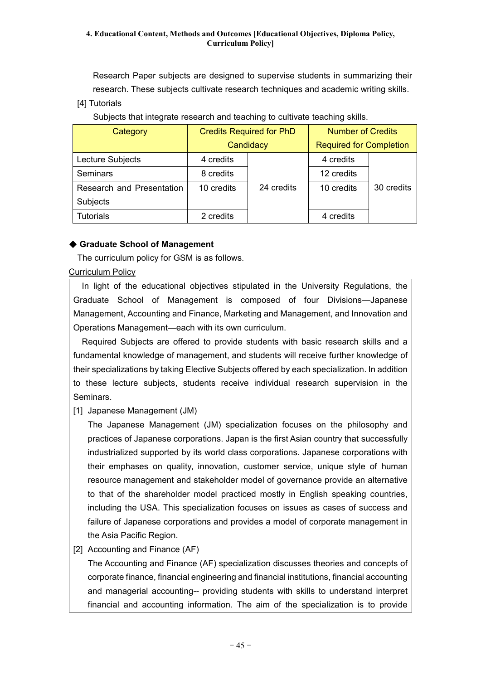Research Paper subjects are designed to supervise students in summarizing their research. These subjects cultivate research techniques and academic writing skills.

[4] Tutorials

Subjects that integrate research and teaching to cultivate teaching skills.

| Category                  | <b>Credits Required for PhD</b> |            | <b>Number of Credits</b>       |            |
|---------------------------|---------------------------------|------------|--------------------------------|------------|
|                           | Candidacy                       |            | <b>Required for Completion</b> |            |
| Lecture Subjects          | 4 credits                       |            | 4 credits                      |            |
| Seminars                  | 8 credits                       |            | 12 credits                     |            |
| Research and Presentation | 10 credits                      | 24 credits | 10 credits                     | 30 credits |
| Subjects                  |                                 |            |                                |            |
| <b>Tutorials</b>          | 2 credits                       |            | 4 credits                      |            |

### ◆ **Graduate School of Management**

The curriculum policy for GSM is as follows.

### Curriculum Policy

In light of the educational objectives stipulated in the University Regulations, the Graduate School of Management is composed of four Divisions—Japanese Management, Accounting and Finance, Marketing and Management, and Innovation and Operations Management—each with its own curriculum.

Required Subjects are offered to provide students with basic research skills and a fundamental knowledge of management, and students will receive further knowledge of their specializations by taking Elective Subjects offered by each specialization. In addition to these lecture subjects, students receive individual research supervision in the Seminars.

[1] Japanese Management (JM)

The Japanese Management (JM) specialization focuses on the philosophy and practices of Japanese corporations. Japan is the first Asian country that successfully industrialized supported by its world class corporations. Japanese corporations with their emphases on quality, innovation, customer service, unique style of human resource management and stakeholder model of governance provide an alternative to that of the shareholder model practiced mostly in English speaking countries, including the USA. This specialization focuses on issues as cases of success and failure of Japanese corporations and provides a model of corporate management in the Asia Pacific Region.

[2] Accounting and Finance (AF)

The Accounting and Finance (AF) specialization discusses theories and concepts of corporate finance, financial engineering and financial institutions, financial accounting and managerial accounting-- providing students with skills to understand interpret financial and accounting information. The aim of the specialization is to provide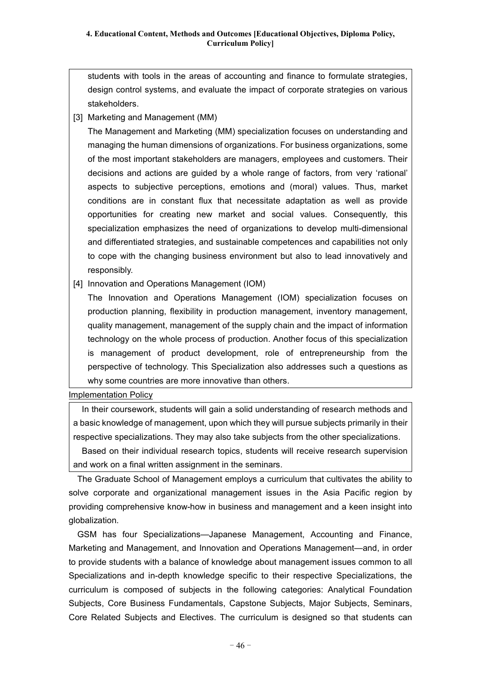students with tools in the areas of accounting and finance to formulate strategies, design control systems, and evaluate the impact of corporate strategies on various stakeholders.

[3] Marketing and Management (MM)

The Management and Marketing (MM) specialization focuses on understanding and managing the human dimensions of organizations. For business organizations, some of the most important stakeholders are managers, employees and customers. Their decisions and actions are guided by a whole range of factors, from very 'rational' aspects to subjective perceptions, emotions and (moral) values. Thus, market conditions are in constant flux that necessitate adaptation as well as provide opportunities for creating new market and social values. Consequently, this specialization emphasizes the need of organizations to develop multi-dimensional and differentiated strategies, and sustainable competences and capabilities not only to cope with the changing business environment but also to lead innovatively and responsibly.

[4] Innovation and Operations Management (IOM)

The Innovation and Operations Management (IOM) specialization focuses on production planning, flexibility in production management, inventory management, quality management, management of the supply chain and the impact of information technology on the whole process of production. Another focus of this specialization is management of product development, role of entrepreneurship from the perspective of technology. This Specialization also addresses such a questions as why some countries are more innovative than others.

Implementation Policy

In their coursework, students will gain a solid understanding of research methods and a basic knowledge of management, upon which they will pursue subjects primarily in their respective specializations. They may also take subjects from the other specializations.

Based on their individual research topics, students will receive research supervision and work on a final written assignment in the seminars.

The Graduate School of Management employs a curriculum that cultivates the ability to solve corporate and organizational management issues in the Asia Pacific region by providing comprehensive know-how in business and management and a keen insight into globalization.

GSM has four Specializations—Japanese Management, Accounting and Finance, Marketing and Management, and Innovation and Operations Management—and, in order to provide students with a balance of knowledge about management issues common to all Specializations and in-depth knowledge specific to their respective Specializations, the curriculum is composed of subjects in the following categories: Analytical Foundation Subjects, Core Business Fundamentals, Capstone Subjects, Major Subjects, Seminars, Core Related Subjects and Electives. The curriculum is designed so that students can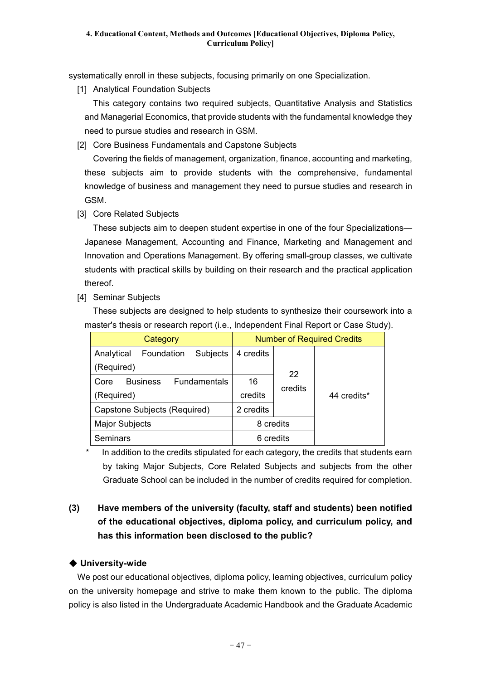systematically enroll in these subjects, focusing primarily on one Specialization.

[1] Analytical Foundation Subjects

This category contains two required subjects, Quantitative Analysis and Statistics and Managerial Economics, that provide students with the fundamental knowledge they need to pursue studies and research in GSM.

[2] Core Business Fundamentals and Capstone Subjects

Covering the fields of management, organization, finance, accounting and marketing, these subjects aim to provide students with the comprehensive, fundamental knowledge of business and management they need to pursue studies and research in GSM.

[3] Core Related Subjects

These subjects aim to deepen student expertise in one of the four Specializations— Japanese Management, Accounting and Finance, Marketing and Management and Innovation and Operations Management. By offering small-group classes, we cultivate students with practical skills by building on their research and the practical application thereof.

[4] Seminar Subjects

These subjects are designed to help students to synthesize their coursework into a master's thesis or research report (i.e., Independent Final Report or Case Study).

| Category                                       | <b>Number of Required Credits</b> |         |             |
|------------------------------------------------|-----------------------------------|---------|-------------|
| Foundation<br>Analytical<br><b>Subjects</b>    | 4 credits                         |         |             |
| (Required)                                     |                                   | 22      |             |
| <b>Fundamentals</b><br><b>Business</b><br>Core | 16                                | credits | 44 credits* |
| (Required)                                     | credits                           |         |             |
| Capstone Subjects (Required)                   | 2 credits                         |         |             |
| <b>Major Subjects</b>                          | 8 credits                         |         |             |
| Seminars                                       | 6 credits                         |         |             |

In addition to the credits stipulated for each category, the credits that students earn by taking Major Subjects, Core Related Subjects and subjects from the other Graduate School can be included in the number of credits required for completion.

## **(3) Have members of the university (faculty, staff and students) been notified of the educational objectives, diploma policy, and curriculum policy, and has this information been disclosed to the public?**

### ◆ **University-wide**

We post our educational objectives, diploma policy, learning objectives, curriculum policy on the university homepage and strive to make them known to the public. The diploma policy is also listed in the Undergraduate Academic Handbook and the Graduate Academic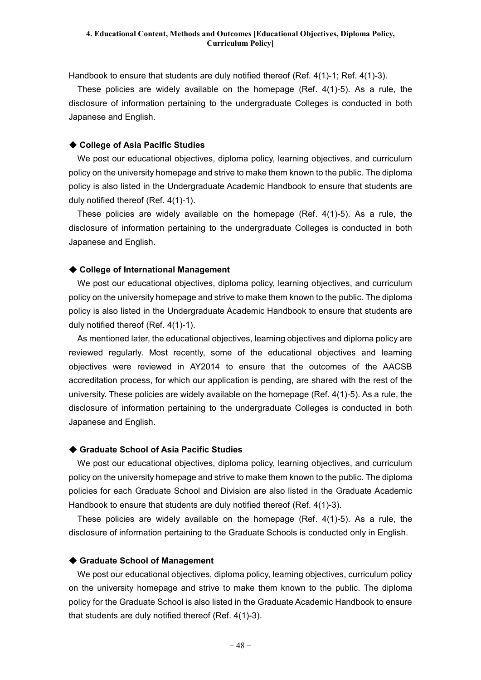Handbook to ensure that students are duly notified thereof (Ref. 4(1)-1; Ref. 4(1)-3).

These policies are widely available on the homepage (Ref. 4(1)-5). As a rule, the disclosure of information pertaining to the undergraduate Colleges is conducted in both Japanese and English.

#### ◆ **College of Asia Pacific Studies**

We post our educational objectives, diploma policy, learning objectives, and curriculum policy on the university homepage and strive to make them known to the public. The diploma policy is also listed in the Undergraduate Academic Handbook to ensure that students are duly notified thereof (Ref. 4(1)-1).

These policies are widely available on the homepage (Ref. 4(1)-5). As a rule, the disclosure of information pertaining to the undergraduate Colleges is conducted in both Japanese and English.

#### ◆ **College of International Management**

We post our educational objectives, diploma policy, learning objectives, and curriculum policy on the university homepage and strive to make them known to the public. The diploma policy is also listed in the Undergraduate Academic Handbook to ensure that students are duly notified thereof (Ref. 4(1)-1).

As mentioned later, the educational objectives, learning objectives and diploma policy are reviewed regularly. Most recently, some of the educational objectives and learning objectives were reviewed in AY2014 to ensure that the outcomes of the AACSB accreditation process, for which our application is pending, are shared with the rest of the university. These policies are widely available on the homepage (Ref. 4(1)-5). As a rule, the disclosure of information pertaining to the undergraduate Colleges is conducted in both Japanese and English.

#### ◆ **Graduate School of Asia Pacific Studies**

We post our educational objectives, diploma policy, learning objectives, and curriculum policy on the university homepage and strive to make them known to the public. The diploma policies for each Graduate School and Division are also listed in the Graduate Academic Handbook to ensure that students are duly notified thereof (Ref. 4(1)-3).

These policies are widely available on the homepage (Ref. 4(1)-5). As a rule, the disclosure of information pertaining to the Graduate Schools is conducted only in English.

#### ◆ **Graduate School of Management**

We post our educational objectives, diploma policy, learning objectives, curriculum policy on the university homepage and strive to make them known to the public. The diploma policy for the Graduate School is also listed in the Graduate Academic Handbook to ensure that students are duly notified thereof (Ref. 4(1)-3).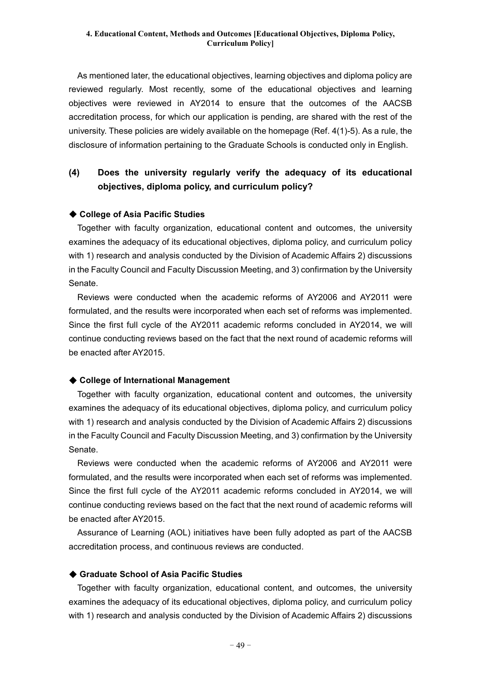As mentioned later, the educational objectives, learning objectives and diploma policy are reviewed regularly. Most recently, some of the educational objectives and learning objectives were reviewed in AY2014 to ensure that the outcomes of the AACSB accreditation process, for which our application is pending, are shared with the rest of the university. These policies are widely available on the homepage (Ref. 4(1)-5). As a rule, the disclosure of information pertaining to the Graduate Schools is conducted only in English.

## **(4) Does the university regularly verify the adequacy of its educational objectives, diploma policy, and curriculum policy?**

#### ◆ **College of Asia Pacific Studies**

Together with faculty organization, educational content and outcomes, the university examines the adequacy of its educational objectives, diploma policy, and curriculum policy with 1) research and analysis conducted by the Division of Academic Affairs 2) discussions in the Faculty Council and Faculty Discussion Meeting, and 3) confirmation by the University Senate.

Reviews were conducted when the academic reforms of AY2006 and AY2011 were formulated, and the results were incorporated when each set of reforms was implemented. Since the first full cycle of the AY2011 academic reforms concluded in AY2014, we will continue conducting reviews based on the fact that the next round of academic reforms will be enacted after AY2015.

#### ◆ **College of International Management**

Together with faculty organization, educational content and outcomes, the university examines the adequacy of its educational objectives, diploma policy, and curriculum policy with 1) research and analysis conducted by the Division of Academic Affairs 2) discussions in the Faculty Council and Faculty Discussion Meeting, and 3) confirmation by the University Senate.

Reviews were conducted when the academic reforms of AY2006 and AY2011 were formulated, and the results were incorporated when each set of reforms was implemented. Since the first full cycle of the AY2011 academic reforms concluded in AY2014, we will continue conducting reviews based on the fact that the next round of academic reforms will be enacted after AY2015.

Assurance of Learning (AOL) initiatives have been fully adopted as part of the AACSB accreditation process, and continuous reviews are conducted.

#### ◆ **Graduate School of Asia Pacific Studies**

Together with faculty organization, educational content, and outcomes, the university examines the adequacy of its educational objectives, diploma policy, and curriculum policy with 1) research and analysis conducted by the Division of Academic Affairs 2) discussions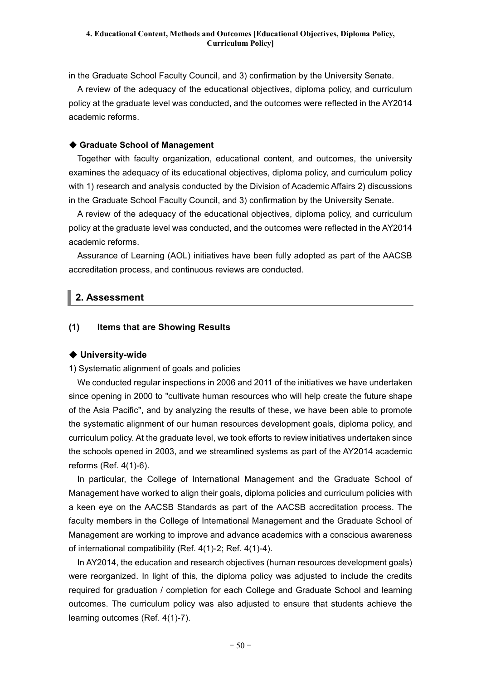in the Graduate School Faculty Council, and 3) confirmation by the University Senate.

A review of the adequacy of the educational objectives, diploma policy, and curriculum policy at the graduate level was conducted, and the outcomes were reflected in the AY2014 academic reforms.

#### ◆ **Graduate School of Management**

Together with faculty organization, educational content, and outcomes, the university examines the adequacy of its educational objectives, diploma policy, and curriculum policy with 1) research and analysis conducted by the Division of Academic Affairs 2) discussions in the Graduate School Faculty Council, and 3) confirmation by the University Senate.

A review of the adequacy of the educational objectives, diploma policy, and curriculum policy at the graduate level was conducted, and the outcomes were reflected in the AY2014 academic reforms.

Assurance of Learning (AOL) initiatives have been fully adopted as part of the AACSB accreditation process, and continuous reviews are conducted.

## **2. Assessment**

#### **(1) Items that are Showing Results**

#### ◆ **University-wide**

1) Systematic alignment of goals and policies

We conducted regular inspections in 2006 and 2011 of the initiatives we have undertaken since opening in 2000 to "cultivate human resources who will help create the future shape of the Asia Pacific", and by analyzing the results of these, we have been able to promote the systematic alignment of our human resources development goals, diploma policy, and curriculum policy. At the graduate level, we took efforts to review initiatives undertaken since the schools opened in 2003, and we streamlined systems as part of the AY2014 academic reforms (Ref. 4(1)-6).

In particular, the College of International Management and the Graduate School of Management have worked to align their goals, diploma policies and curriculum policies with a keen eye on the AACSB Standards as part of the AACSB accreditation process. The faculty members in the College of International Management and the Graduate School of Management are working to improve and advance academics with a conscious awareness of international compatibility (Ref. 4(1)-2; Ref. 4(1)-4).

In AY2014, the education and research objectives (human resources development goals) were reorganized. In light of this, the diploma policy was adjusted to include the credits required for graduation / completion for each College and Graduate School and learning outcomes. The curriculum policy was also adjusted to ensure that students achieve the learning outcomes (Ref. 4(1)-7).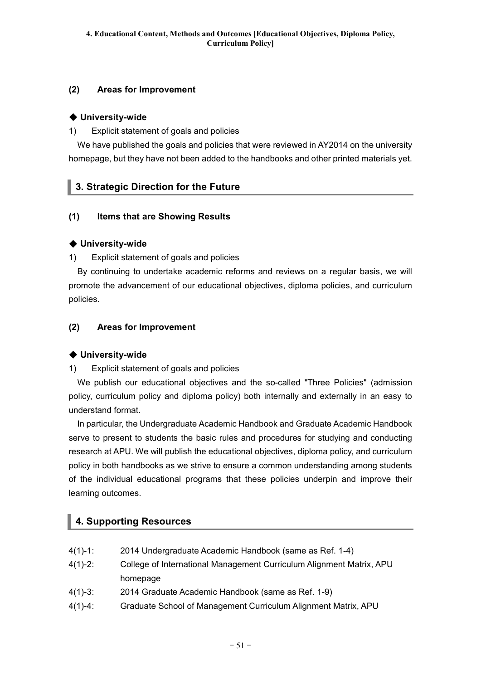## **(2) Areas for Improvement**

### ◆ **University-wide**

1) Explicit statement of goals and policies

We have published the goals and policies that were reviewed in AY2014 on the university homepage, but they have not been added to the handbooks and other printed materials yet.

## **3. Strategic Direction for the Future**

### **(1) Items that are Showing Results**

### ◆ **University-wide**

1) Explicit statement of goals and policies

By continuing to undertake academic reforms and reviews on a regular basis, we will promote the advancement of our educational objectives, diploma policies, and curriculum policies.

### **(2) Areas for Improvement**

### ◆ **University-wide**

1) Explicit statement of goals and policies

We publish our educational objectives and the so-called "Three Policies" (admission policy, curriculum policy and diploma policy) both internally and externally in an easy to understand format.

In particular, the Undergraduate Academic Handbook and Graduate Academic Handbook serve to present to students the basic rules and procedures for studying and conducting research at APU. We will publish the educational objectives, diploma policy, and curriculum policy in both handbooks as we strive to ensure a common understanding among students of the individual educational programs that these policies underpin and improve their learning outcomes.

## **4. Supporting Resources**

| $4(1)-1$ : | 2014 Undergraduate Academic Handbook (same as Ref. 1-4)              |
|------------|----------------------------------------------------------------------|
| $4(1)-2$ : | College of International Management Curriculum Alignment Matrix, APU |
|            | homepage                                                             |
| $4(1)-3$ : | 2014 Graduate Academic Handbook (same as Ref. 1-9)                   |
| $4(1)-4$ : | Graduate School of Management Curriculum Alignment Matrix, APU       |